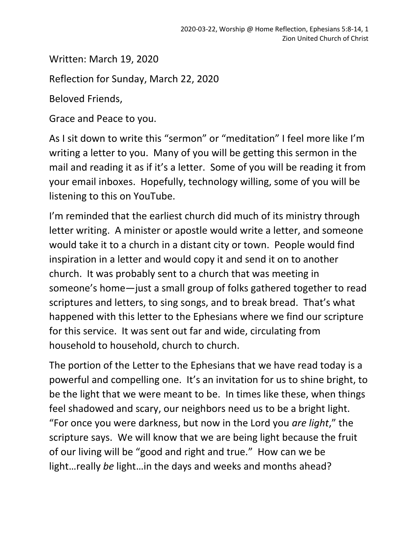Written: March 19, 2020

Reflection for Sunday, March 22, 2020

Beloved Friends,

Grace and Peace to you.

As I sit down to write this "sermon" or "meditation" I feel more like I'm writing a letter to you. Many of you will be getting this sermon in the mail and reading it as if it's a letter. Some of you will be reading it from your email inboxes. Hopefully, technology willing, some of you will be listening to this on YouTube.

I'm reminded that the earliest church did much of its ministry through letter writing. A minister or apostle would write a letter, and someone would take it to a church in a distant city or town. People would find inspiration in a letter and would copy it and send it on to another church. It was probably sent to a church that was meeting in someone's home—just a small group of folks gathered together to read scriptures and letters, to sing songs, and to break bread. That's what happened with this letter to the Ephesians where we find our scripture for this service. It was sent out far and wide, circulating from household to household, church to church.

The portion of the Letter to the Ephesians that we have read today is a powerful and compelling one. It's an invitation for us to shine bright, to be the light that we were meant to be. In times like these, when things feel shadowed and scary, our neighbors need us to be a bright light. "For once you were darkness, but now in the Lord you *are light*," the scripture says. We will know that we are being light because the fruit of our living will be "good and right and true." How can we be light…really *be* light…in the days and weeks and months ahead?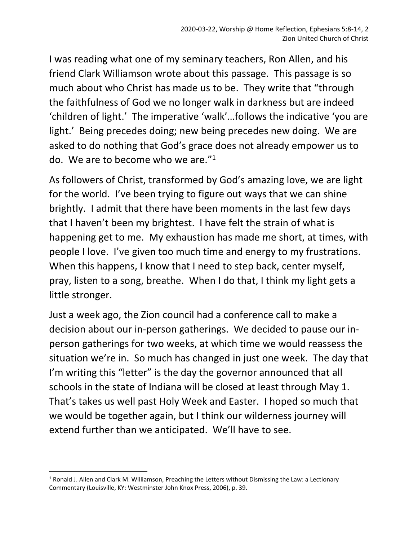I was reading what one of my seminary teachers, Ron Allen, and his friend Clark Williamson wrote about this passage. This passage is so much about who Christ has made us to be. They write that "through the faithfulness of God we no longer walk in darkness but are indeed 'children of light.' The imperative 'walk'…follows the indicative 'you are light.' Being precedes doing; new being precedes new doing. We are asked to do nothing that God's grace does not already empower us to do. We are to become who we are."<sup>1</sup>

As followers of Christ, transformed by God's amazing love, we are light for the world. I've been trying to figure out ways that we can shine brightly. I admit that there have been moments in the last few days that I haven't been my brightest. I have felt the strain of what is happening get to me. My exhaustion has made me short, at times, with people I love. I've given too much time and energy to my frustrations. When this happens, I know that I need to step back, center myself, pray, listen to a song, breathe. When I do that, I think my light gets a little stronger.

Just a week ago, the Zion council had a conference call to make a decision about our in-person gatherings. We decided to pause our inperson gatherings for two weeks, at which time we would reassess the situation we're in. So much has changed in just one week. The day that I'm writing this "letter" is the day the governor announced that all schools in the state of Indiana will be closed at least through May 1. That's takes us well past Holy Week and Easter. I hoped so much that we would be together again, but I think our wilderness journey will extend further than we anticipated. We'll have to see.

 $1$  Ronald J. Allen and Clark M. Williamson, Preaching the Letters without Dismissing the Law: a Lectionary Commentary (Louisville, KY: Westminster John Knox Press, 2006), p. 39.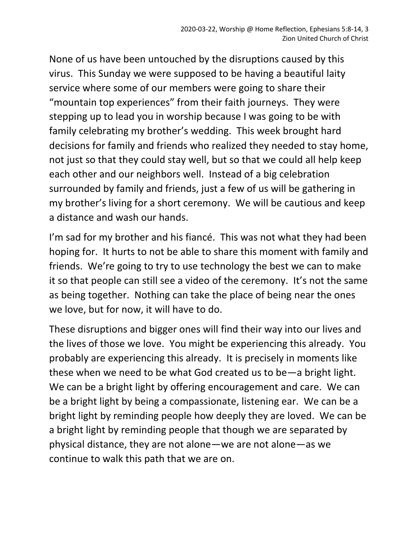None of us have been untouched by the disruptions caused by this virus. This Sunday we were supposed to be having a beautiful laity service where some of our members were going to share their "mountain top experiences" from their faith journeys. They were stepping up to lead you in worship because I was going to be with family celebrating my brother's wedding. This week brought hard decisions for family and friends who realized they needed to stay home, not just so that they could stay well, but so that we could all help keep each other and our neighbors well. Instead of a big celebration surrounded by family and friends, just a few of us will be gathering in my brother's living for a short ceremony. We will be cautious and keep a distance and wash our hands.

I'm sad for my brother and his fiancé. This was not what they had been hoping for. It hurts to not be able to share this moment with family and friends. We're going to try to use technology the best we can to make it so that people can still see a video of the ceremony. It's not the same as being together. Nothing can take the place of being near the ones we love, but for now, it will have to do.

These disruptions and bigger ones will find their way into our lives and the lives of those we love. You might be experiencing this already. You probably are experiencing this already. It is precisely in moments like these when we need to be what God created us to be—a bright light. We can be a bright light by offering encouragement and care. We can be a bright light by being a compassionate, listening ear. We can be a bright light by reminding people how deeply they are loved. We can be a bright light by reminding people that though we are separated by physical distance, they are not alone—we are not alone—as we continue to walk this path that we are on.